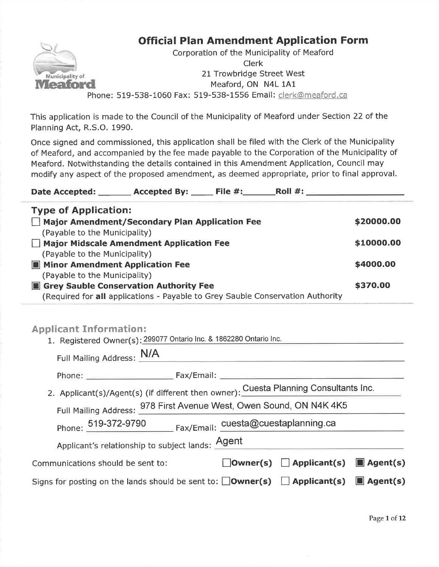#### Ur $\sim$ 111 - 112 Municipality of **Meaford**

# Official Plan Amendment Application Form

 Phone: 519-538-1060 Fax: 519-538-1556 Email: clerk@meaford.caCorporation of the Municipality of MeafordClerk 21 Trowbridge Street WestMeaford, ON N4L 1A1

This application is made to the Council of the Municipality of Meaford under Section 22 of thePlanning Act, R.S.O. 1990.

Once signed and commissioned, this application shall be filed with the Clerk of the Municipality of Meaford, and accompanied by the fee made payable to the Corporation of the Municipality ofMeaford. Notwithstanding the details contained in this Amendment Application, Council maymodify any aspect of the proposed amendment, as deemed appropriate, prior to final approval.

Date Accepted: \_\_\_\_\_\_\_\_ Accepted By: \_\_\_\_\_\_ File #:\_\_\_\_\_\_\_\_\_Roll #: . , pe of reppresentent<br>\_ Major Amendment/Secondary Plan Application Fee Type of Application:(Payable to the Municipality) $\Box$  Major Midscale Amendment Application Fee (Payable to the Municipality)**El Minor Amendment Application Fee** (Payable to the Municipality)**B** Grey Sauble Conservation Authority Fee (Required for all applications - Payable to Grey Sauble Conservation Authority\$2OOOO.OO\$1OOOO.OO\$4OOO.OO\$37O.OO

# **Applicant Information:**

| 1. Registered Owner(s): 299077 Ontario Inc. & 1862280 Ontario Inc.                                    |                                                     |  |
|-------------------------------------------------------------------------------------------------------|-----------------------------------------------------|--|
| Full Mailing Address: N/A                                                                             |                                                     |  |
|                                                                                                       |                                                     |  |
| 2. Applicant(s)/Agent(s) (if different then owner): Cuesta Planning Consultants Inc.                  |                                                     |  |
| Full Mailing Address: 978 First Avenue West, Owen Sound, ON N4K 4K5                                   |                                                     |  |
| Phone: 519-372-9790 Fax/Email: cuesta@cuestaplanning.ca                                               |                                                     |  |
| Applicant's relationship to subject lands: <u>Agent</u>                                               |                                                     |  |
| Communications should be sent to:                                                                     | $\Box$ Owner(s) $\Box$ Applicant(s) $\Box$ Agent(s) |  |
| Signs for posting on the lands should be sent to: $\Box$ Owner(s) $\Box$ Applicant(s) $\Box$ Agent(s) |                                                     |  |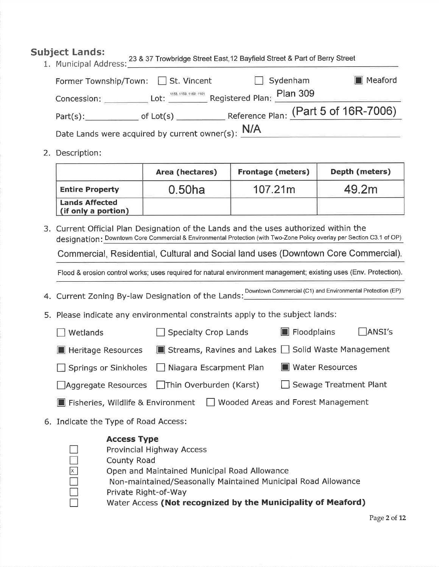# Subject Lands:

| Municipal Address: 23 & 37 Trowbridge Street East, 12 Bayfield Street & Part of Berry Street                           |          |         |
|------------------------------------------------------------------------------------------------------------------------|----------|---------|
| Former Township/Town: □ St. Vincent                                                                                    | Sydenham | Meaford |
| Concession: Lot: 158, 1159, 1160, 1161 Registered Plan: Plan 309                                                       |          |         |
| Part(s): $\rule{1em}{0.15mm}$ of Lot(s) $\rule{1.15mm}{0.15mm}$ Reference Plan: $\frac{\text{(Part 5 of 16R-7006)}}{}$ |          |         |
| Date Lands were acquired by current owner(s): $N/A$                                                                    |          |         |

2. Description:

|                                              | Area (hectares) | <b>Frontage (meters)</b> | Depth (meters) |
|----------------------------------------------|-----------------|--------------------------|----------------|
| <b>Entire Property</b>                       | 0.50ha          | 107.21m                  | 49.2m          |
| <b>Lands Affected</b><br>(if only a portion) |                 |                          |                |

3. Current Official Plan Designation of the Lands and the uses authorized within thedesignation: Downtown Core Commercial & Environmental Protection (with Two-Zone Policy overlay per Section C3.1 of OP)

Commercial, Residential, Cultural and Social land uses (Downtown Core Commercial)

Flood & erosion control works; uses required for natural environment management; existing uses (Env. Protection).

4. Current Zoning By-law Designation of the Lands: Downtown Commercial (C1) and Environmental Protection (EP)

- 5. Please indicate any environmental constraints apply to the subject lands:
	- $\Box$  Wetlands  $\Box$  Specialty Crop Lands  $\Box$  Floodplains  $\Box$  ANSI's **I** Heritage Resources **E** Streams, Ravines and Lakes  $\Box$  Solid Waste Management  $\Box$  Springs or Sinkholes  $\Box$  Niagara Escarpment Plan  $\Box$  Water Resources  $\Box$ Aggregate Resources  $\Box$ Thin Overburden (Karst)  $\Box$  Sewage Treatment Plant

**E** Fisheries, Wildlife & Environment  $\Box$  Wooded Areas and Forest Management

6. Indicate the Type of Road Access:

- Access Type
- Provincial Highway Access
- County Road
- $\overline{X}$  Open and Maintained Municipal Road Allowance
	- Non-maintained/Seasonally Maintained Municipal Road Allowance
	- Private Right-of-Way
- $\Box$  Water Access (Not recognized by the Municipality of Meaford)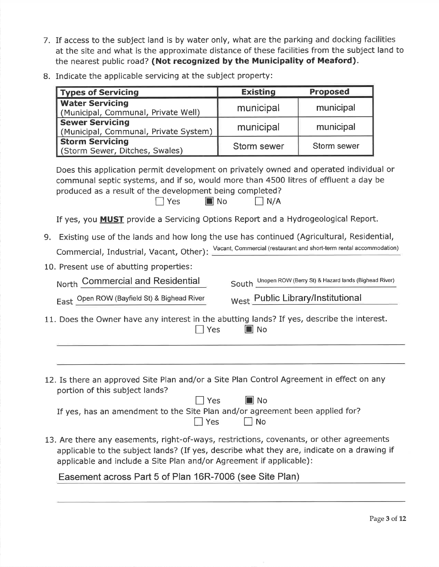- 7. If access to the subject land is by water only, what are the parking and docking facilities at the site and what is the approximate distance of these facilities from the subject land tothe nearest public road? (Not recognized by the Municipality of Meaford).
- 8. Indicate the applicable servicing at the subject property:

| <b>Types of Servicing</b>                                                                                                                                                                                                                                     | <b>Existing</b>                                                                                                                                                                                         | <b>Proposed</b>                                            |  |
|---------------------------------------------------------------------------------------------------------------------------------------------------------------------------------------------------------------------------------------------------------------|---------------------------------------------------------------------------------------------------------------------------------------------------------------------------------------------------------|------------------------------------------------------------|--|
| <b>Water Servicing</b><br>(Municipal, Communal, Private Well)                                                                                                                                                                                                 | municipal                                                                                                                                                                                               | municipal                                                  |  |
| <b>Sewer Servicing</b><br>(Municipal, Communal, Private System)                                                                                                                                                                                               | municipal                                                                                                                                                                                               | municipal                                                  |  |
| <b>Storm Servicing</b><br>(Storm Sewer, Ditches, Swales)                                                                                                                                                                                                      | <b>Storm sewer</b>                                                                                                                                                                                      | Storm sewer                                                |  |
| Does this application permit development on privately owned and operated individual or<br>communal septic systems, and if so, would more than 4500 litres of effluent a day be<br>produced as a result of the development being completed?<br>  Yes           | $\blacksquare$ No<br>$\Box$ N/A                                                                                                                                                                         |                                                            |  |
| If yes, you <b>MUST</b> provide a Servicing Options Report and a Hydrogeological Report.                                                                                                                                                                      |                                                                                                                                                                                                         |                                                            |  |
| 9.                                                                                                                                                                                                                                                            | Existing use of the lands and how long the use has continued (Agricultural, Residential,<br>Commercial, Industrial, Vacant, Other): Vacant, Commercial (restaurant and short-term rental accommodation) |                                                            |  |
| 10. Present use of abutting properties:                                                                                                                                                                                                                       |                                                                                                                                                                                                         |                                                            |  |
| North Commercial and Residential                                                                                                                                                                                                                              |                                                                                                                                                                                                         | South Unopen ROW (Berry St) & Hazard lands (Bighead River) |  |
| East Open ROW (Bayfield St) & Bighead River                                                                                                                                                                                                                   | West Public Library/Institutional                                                                                                                                                                       |                                                            |  |
| 11. Does the Owner have any interest in the abutting lands? If yes, describe the interest.<br>$\Box$ Yes<br>∎j No                                                                                                                                             |                                                                                                                                                                                                         |                                                            |  |
|                                                                                                                                                                                                                                                               |                                                                                                                                                                                                         |                                                            |  |
| 12. Is there an approved Site Plan and/or a Site Plan Control Agreement in effect on any<br>portion of this subject lands?<br>  Yes                                                                                                                           | $\blacksquare$ No                                                                                                                                                                                       |                                                            |  |
| If yes, has an amendment to the Site Plan and/or agreement been applied for?<br>$\Box$ Yes                                                                                                                                                                    | No                                                                                                                                                                                                      |                                                            |  |
| 13. Are there any easements, right-of-ways, restrictions, covenants, or other agreements<br>applicable to the subject lands? (If yes, describe what they are, indicate on a drawing if<br>applicable and include a Site Plan and/or Agreement if applicable): |                                                                                                                                                                                                         |                                                            |  |

Easement across Part 5 of Plan 16R-7006 (see Site Plan)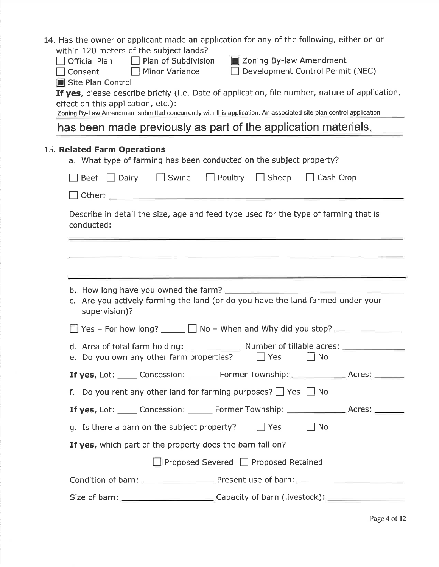| 14. Has the owner or applicant made an application for any of the following, either on or<br>within 120 meters of the subject lands?                     |  |
|----------------------------------------------------------------------------------------------------------------------------------------------------------|--|
| $\Box$ Plan of Subdivision<br><b>E</b> Zoning By-law Amendment<br>Official Plan                                                                          |  |
| Development Control Permit (NEC)<br>Consent Minor Variance<br>Site Plan Control                                                                          |  |
| If yes, please describe briefly (i.e. Date of application, file number, nature of application,<br>effect on this application, etc.):                     |  |
| Zoning By-Law Amendment submitted concurrently with this application. An associated site plan control application                                        |  |
| has been made previously as part of the application materials.                                                                                           |  |
| 15. Related Farm Operations<br>a. What type of farming has been conducted on the subject property?                                                       |  |
| □ Beef □ Dairy □ Swine □ Poultry □ Sheep □ Cash Crop                                                                                                     |  |
|                                                                                                                                                          |  |
| Describe in detail the size, age and feed type used for the type of farming that is<br>conducted:                                                        |  |
|                                                                                                                                                          |  |
|                                                                                                                                                          |  |
|                                                                                                                                                          |  |
| c. Are you actively farming the land (or do you have the land farmed under your<br>supervision)?                                                         |  |
|                                                                                                                                                          |  |
| d. Area of total farm holding: ________________ Number of tillable acres: _____________<br>e. Do you own any other farm properties? $\Box$ Yes $\Box$ No |  |
| <b>If yes,</b> Lot: _____ Concession: _______ Former Township: _______________ Acres: ______                                                             |  |
| f. Do you rent any other land for farming purposes? $\Box$ Yes $\Box$ No                                                                                 |  |
| <b>If yes, Lot:</b> _____ Concession: ______ Former Township: _______________ Acres: _______                                                             |  |
| $\Box$ No<br>$\Box$ Yes<br>g. Is there a barn on the subject property?                                                                                   |  |
| If yes, which part of the property does the barn fall on?                                                                                                |  |
| Proposed Severed Proposed Retained                                                                                                                       |  |
|                                                                                                                                                          |  |
| Size of barn: ________________________________Capacity of barn (livestock): ________________________                                                     |  |
|                                                                                                                                                          |  |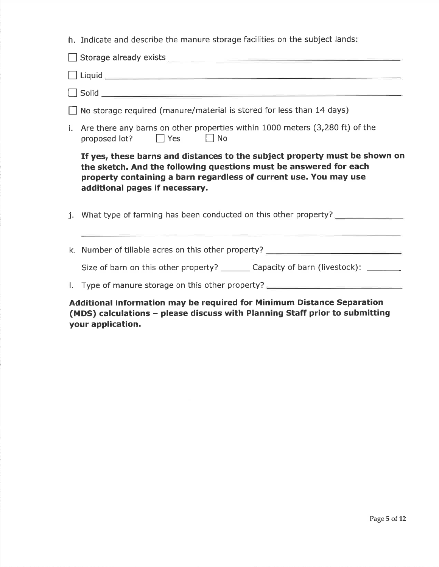| h. Indicate and describe the manure storage facilities on the subject lands:                                                                                                                                                                           |
|--------------------------------------------------------------------------------------------------------------------------------------------------------------------------------------------------------------------------------------------------------|
|                                                                                                                                                                                                                                                        |
|                                                                                                                                                                                                                                                        |
|                                                                                                                                                                                                                                                        |
| $\Box$ No storage required (manure/material is stored for less than 14 days)                                                                                                                                                                           |
| i. Are there any barns on other properties within 1000 meters (3,280 ft) of the<br>proposed lot? $\Box$ Yes $\Box$ No                                                                                                                                  |
| If yes, these barns and distances to the subject property must be shown on<br>the sketch. And the following questions must be answered for each<br>property containing a barn regardless of current use. You may use<br>additional pages if necessary. |
| What type of farming has been conducted on this other property? ___________                                                                                                                                                                            |
|                                                                                                                                                                                                                                                        |

k. Number of tillable acres on this other property?

Size of barn on this other property? \_\_\_\_\_\_\_\_ Capacity of barn (livestock): \_\_\_\_\_\_\_\_\_

l. Type of manure storage on this other property? \_\_\_\_\_\_\_\_\_\_\_\_\_\_\_\_\_\_\_\_\_\_\_\_\_\_\_\_\_\_<br>Additio<mark>nal information may be required for Minimum Distance Separatio</mark>n (MDS) calculations – please discuss with Planning Staff prior to submitting your application.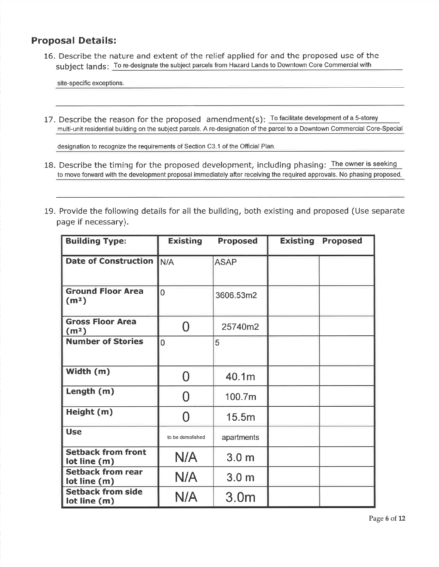### Proposal Details:

16. Describe the nature and extent of the relief applied for and the proposed use of thesubject lands: To re-designate the subject parcels from Hazard Lands to Downtown Core Commercial with

site-specific exceptions.

17. Describe the reason for the proposed  $\,$  amendment(s):  $\,$  To facilitate development of a 5-storey multi-unit residential building on the subject parcels. A re-designation of the parcel to a Downtown Commercial Core-Special

designation to recognize the requirements of Section C3.1 of the Official Plan

- 18. Describe the timing for the proposed development, including phasing: The owner is seeking to move forward with the development proposal immediately after receiving the required approvals. No phasing proposed.
- 19. Provide the following details for all the building, both existing and proposed (Use separatepage if necessary).

| <b>Building Type:</b>                         | <b>Existing</b><br><b>Proposed</b> |                  | <b>Existing</b> | <b>Proposed</b> |
|-----------------------------------------------|------------------------------------|------------------|-----------------|-----------------|
| <b>Date of Construction</b>                   | IN/A                               | <b>ASAP</b>      |                 |                 |
| <b>Ground Floor Area</b><br>(m <sup>2</sup> ) | $\overline{0}$                     | 3606.53m2        |                 |                 |
| <b>Gross Floor Area</b><br>(m <sup>2</sup> )  | O                                  | 25740m2          |                 |                 |
| <b>Number of Stories</b>                      | $\overline{0}$                     | 5                |                 |                 |
| Width (m)                                     | N                                  | 40.1m            |                 |                 |
| Length (m)                                    | N                                  | 100.7m           |                 |                 |
| Height (m)                                    | Ω                                  | 15.5m            |                 |                 |
| <b>Use</b>                                    | to be demolished                   | apartments       |                 |                 |
| <b>Setback from front</b><br>lot line (m)     | N/A                                | 3.0 <sub>m</sub> |                 |                 |
| <b>Setback from rear</b><br>lot line (m)      | N/A                                | 3.0 <sub>m</sub> |                 |                 |
| <b>Setback from side</b><br>lot line (m)      | N/A                                | 3.0 <sub>m</sub> |                 |                 |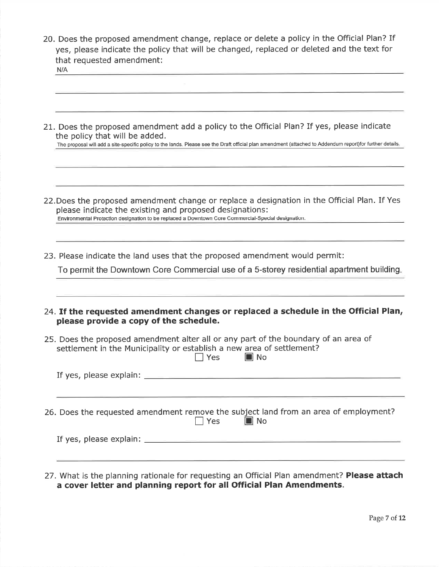| 20. Does the proposed amendment change, replace or delete a policy in the Official Plan? If |  |
|---------------------------------------------------------------------------------------------|--|
| yes, please indicate the policy that will be changed, replaced or deleted and the text for  |  |
| that requested amendment:                                                                   |  |
| N/A                                                                                         |  |

| 21. Does the proposed amendment add a policy to the Official Plan? If yes, please indicate<br>the policy that will be added.<br>The proposal will add a site-specific policy to the lands. Please see the Draft official plan amendment (attached to Addendum report)for further details. |
|-------------------------------------------------------------------------------------------------------------------------------------------------------------------------------------------------------------------------------------------------------------------------------------------|
|                                                                                                                                                                                                                                                                                           |
| 22. Does the proposed amendment change or replace a designation in the Official Plan. If Yes<br>please indicate the existing and proposed designations:<br>Environmental Protection designation to be replaced a Downtown Core Commercial-Special designation.                            |
| 23. Please indicate the land uses that the proposed amendment would permit:                                                                                                                                                                                                               |
| To permit the Downtown Core Commercial use of a 5-storey residential apartment building.                                                                                                                                                                                                  |
| 24. If the requested amendment changes or replaced a schedule in the Official Plan,<br>please provide a copy of the schedule.                                                                                                                                                             |
| 25. Does the proposed amendment alter all or any part of the boundary of an area of<br>settlement in the Municipality or establish a new area of settlement?<br>$\sqsupset$ Yes<br>$\blacksquare$ No                                                                                      |
|                                                                                                                                                                                                                                                                                           |
| 26. Does the requested amendment remove the subject land from an area of employment?<br>$\blacksquare$ No<br>$\sqsupset$ Yes                                                                                                                                                              |
|                                                                                                                                                                                                                                                                                           |
|                                                                                                                                                                                                                                                                                           |

27. What is the planning rationale for requesting an Official Plan amendment? Please attach<br>a cover letter and planning report for all Official Plan Amendments.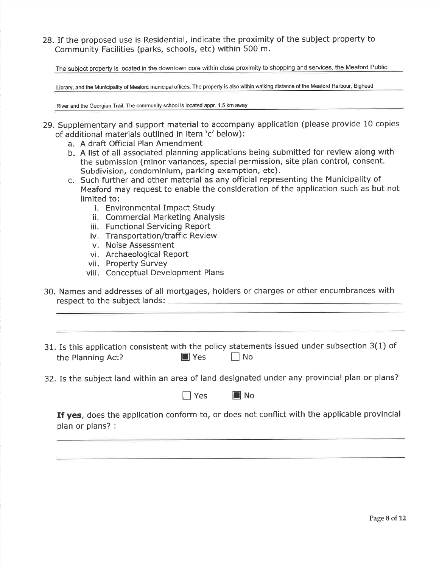28.1f the proposed use is Residential, indicate the proximity of the subject property toCommunity Facilities (parks, schools, etc) within 500 m.

The subiect property is located in the downtown core within close proximity to shopping and services, the Meaford Public

Library, and the Municipality of Meaford municipal offices. The property is also within walking distance of the Meaford Harbour, Bighead

River and the Georgian Trail. The community school is located appr. 1.5 km away

- 29. Supplementary and support material to accompany application (please provide 10 copies of additional materials outlined in item'c'below):
	- a. A draft Official Plan Amendment
	- b. A list of all associated planning applications being submitted for review along withthe submission (minor variances, special permission, site plan control, consent.Subdivision, condominium, parking exemption, etc).
	- c. Such further and other material as any official representing the Municipality of Meaford may request to enable the consideration of the application such as but not limited to:
		- i. Environmental Impact Study
		- ii. Commercial Marketing Analysis
		- iii. Functional Servicing Report
		- iv. Transportation/traffic Review
		- v. Noise Assessment
		- vi. Archaeological Report
		- vii. Property Survey
		- viii. Conceptual Development Plans
- 30. Names and addresses of all mortgages, holders or charges or other encumbrances withrespect to the subject lands:
- 31. Is this application consistent with the policy statements issued under subsection 3(1) of the Planning Act?  $\Box$  Yes  $\Box$  No
- 32. Is the subject land within an area of land designated under any provincial plan or plans?

|  |  | II No |
|--|--|-------|
|--|--|-------|

If yes, does the application conform to, or does not conflict with the applicable provincial plan or plans? :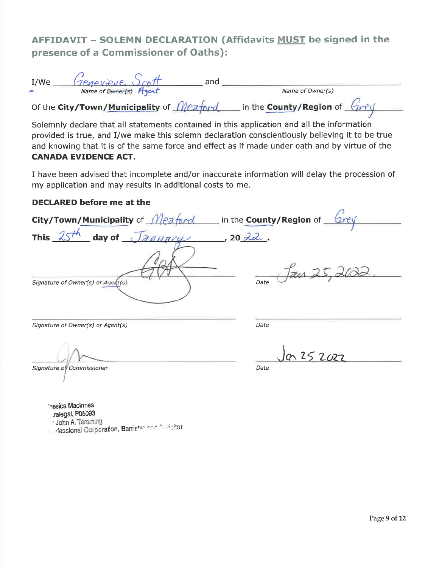# AFFIDAVIT - SOLEMN DECLARATION (Affidavits MUST be signed in thepresence of a Commissioner of Oaths):

| I/We    | Genevieve Scott                                 | and |                                |  |
|---------|-------------------------------------------------|-----|--------------------------------|--|
| للمتعاد | Name of Owner(s) Agent                          |     | Name of Owner(s)               |  |
|         | Of the City/Town/Municipality of <i>Meaford</i> |     | in the County/Region of $Grey$ |  |

Solemnly declare that all statements contained in this application and all the information provided is true, and l/we make this solemn declaration conscientiously believing it to be true and knowing that it is of the same force and effect as if made under oath and by viftue of theCANADA EVIDENCE ACT.

I have been advised that incomplete and/or inaccurate information will delay the procession ofmy application and may results in additional costs to me.

#### DECLARED before me at the

City/Town/Municipality of  $\frac{1}{2}$  or  $\frac{1}{2}$  and  $\frac{1}{2}$  in the County/Region of  $\frac{4h}{2}$  day of  $\frac{Jauuary}{2}$ , 20 22. This  $25^{th}$ Jan 25,200 Signature of Owner(s) or Agent(s)  $\setminus$ Signature of Owner(s) or Agent(s)) Date

Signature of Commissioner **Date** 

.J^ L5 zcrz

'essica Maclnnes.ralegal, P05093

: John A. Tamming : John A. Tamming<br>Intessional Corporation, Barrister on finaligitor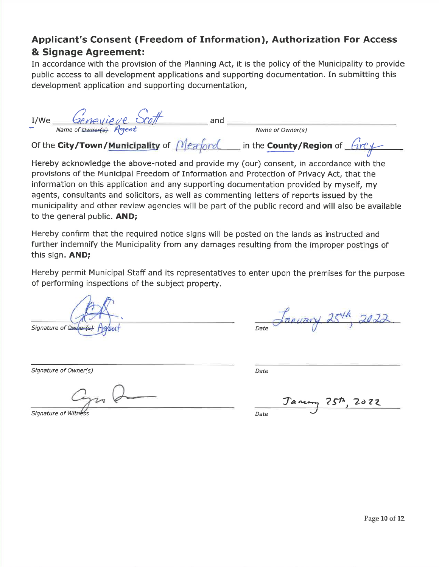# Applicant's Consent (Freedom of Information), Authorization For Access& Signage Agreement:

In accordance with the provision of the Planning Act, it is the policy of the Municipality to providepublic access to all development applications and supporting documentation. In submitting this development application and supporting documentation,

I/We  $\frac{Geneqieve\sqrt{c}t}{\sqrt{c}}$  and  $\frac{Neq}{\sqrt{c}}$  and  $\frac{Neq}{\sqrt{c}}$  (Nextring  $\frac{Neq}{\sqrt{c}}$  of the City/Town/Municipality of  $Meanq$  in the County/Region of  $Gref$ Name of Owner<del>(s)</del> Agent<br>Of the **City/Town/<u>Municipality</u>** of

 Hereby acknowledge the above-noted and provide my (our) consent, in accordance with theprovisions of the Municipal Freedom of Information and Protection of Privacy Act, that the information on this application and any suppofting documentation provided by myself, my agents, consultants and solicitors, as well as commenting letters of reports issued by the municipality and other review agencies will be part of the public record and will also be availableto the general public. AND;

Hereby confirm that the required notice signs will be posted on the lands as instructed and fufther indemnify the Municipality from any damages resulting from the improper postings ofthis sign. AND;

Hereby permit Municipal Staff and its representatives to enter upon the premises for the purposeof performing inspections of the subject property.

Signature of Quiner(s) Agricult contract to the Date

Signature of Owner(s)

Signature of Witness F Witness Date

) and the contract of the contract of the contract of the contract of the contract of the contract of the contract of the contract of the contract of the contract of the contract of the contract of the contract of the cont

Janony 25th, 2022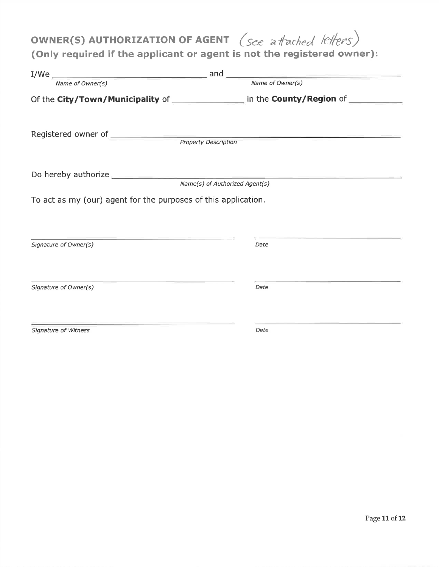# OWNER(S) AUTHORIZATION OF AGENT (see a fached lefters)

# (Only required if the applicant or agent is not the registered owner)

| Name of Owner(s)                                               | Name of Owner(s)                                                                        |
|----------------------------------------------------------------|-----------------------------------------------------------------------------------------|
|                                                                | Of the City/Town/Municipality of __________________ in the County/Region of ___________ |
|                                                                |                                                                                         |
|                                                                |                                                                                         |
|                                                                | Name(s) of Authorized Agent(s)                                                          |
| To act as my (our) agent for the purposes of this application. |                                                                                         |
| Signature of Owner(s)                                          | Date                                                                                    |
| Signature of Owner(s)                                          | Date                                                                                    |
| Signature of Witness                                           | Date                                                                                    |